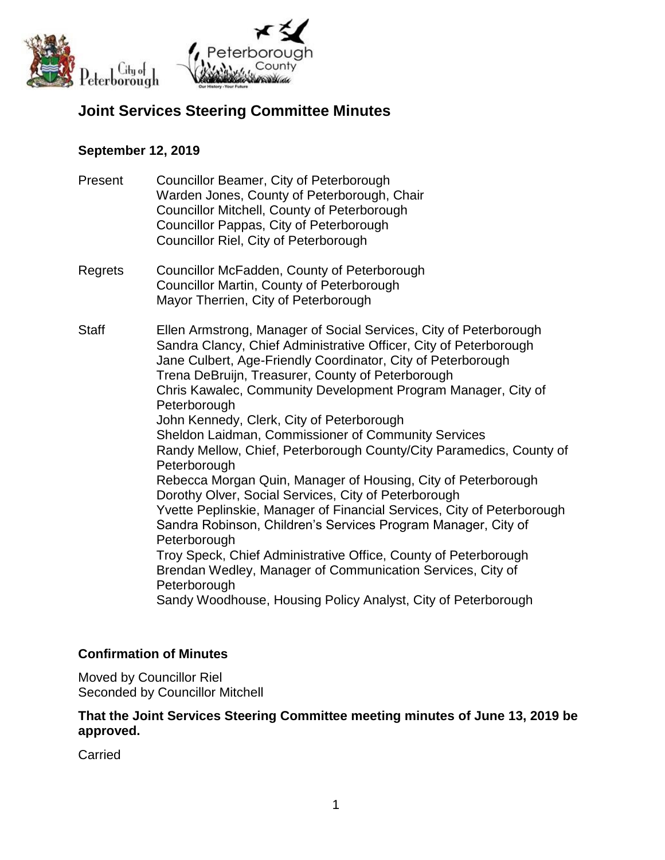

# **Joint Services Steering Committee Minutes**

## **September 12, 2019**

- Present Councillor Beamer, City of Peterborough Warden Jones, County of Peterborough, Chair Councillor Mitchell, County of Peterborough Councillor Pappas, City of Peterborough Councillor Riel, City of Peterborough
- Regrets Councillor McFadden, County of Peterborough Councillor Martin, County of Peterborough Mayor Therrien, City of Peterborough

Staff Ellen Armstrong, Manager of Social Services, City of Peterborough Sandra Clancy, Chief Administrative Officer, City of Peterborough Jane Culbert, Age-Friendly Coordinator, City of Peterborough Trena DeBruijn, Treasurer, County of Peterborough Chris Kawalec, Community Development Program Manager, City of **Peterborough** John Kennedy, Clerk, City of Peterborough Sheldon Laidman, Commissioner of Community Services Randy Mellow, Chief, Peterborough County/City Paramedics, County of **Peterborough** Rebecca Morgan Quin, Manager of Housing, City of Peterborough Dorothy Olver, Social Services, City of Peterborough Yvette Peplinskie, Manager of Financial Services, City of Peterborough Sandra Robinson, Children's Services Program Manager, City of **Peterborough** Troy Speck, Chief Administrative Office, County of Peterborough Brendan Wedley, Manager of Communication Services, City of **Peterborough** Sandy Woodhouse, Housing Policy Analyst, City of Peterborough

# **Confirmation of Minutes**

Moved by Councillor Riel Seconded by Councillor Mitchell

#### **That the Joint Services Steering Committee meeting minutes of June 13, 2019 be approved.**

Carried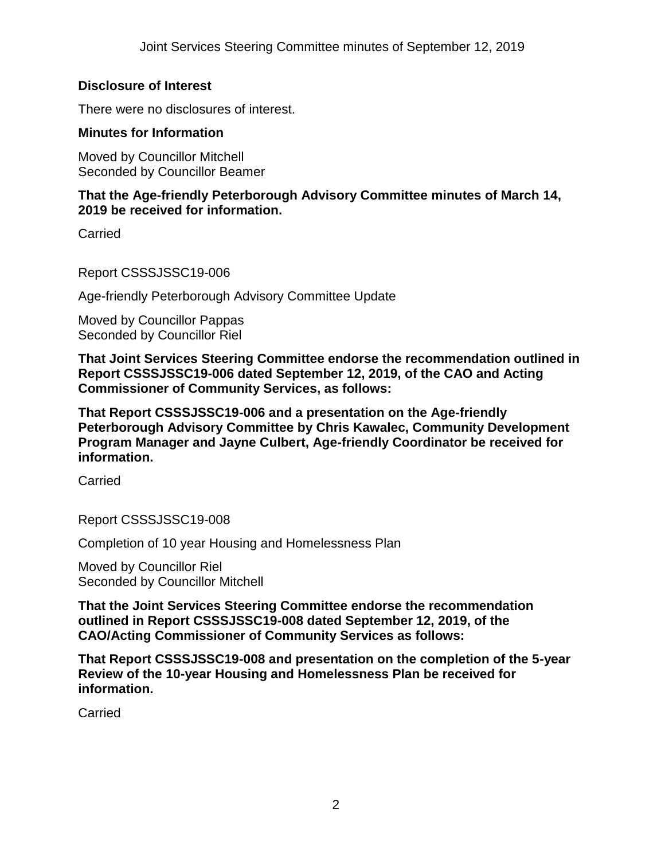## **Disclosure of Interest**

There were no disclosures of interest.

## **Minutes for Information**

Moved by Councillor Mitchell Seconded by Councillor Beamer

## **That the Age-friendly Peterborough Advisory Committee minutes of March 14, 2019 be received for information.**

Carried

Report CSSSJSSC19-006

Age-friendly Peterborough Advisory Committee Update

Moved by Councillor Pappas Seconded by Councillor Riel

**That Joint Services Steering Committee endorse the recommendation outlined in Report CSSSJSSC19-006 dated September 12, 2019, of the CAO and Acting Commissioner of Community Services, as follows:**

**That Report CSSSJSSC19-006 and a presentation on the Age-friendly Peterborough Advisory Committee by Chris Kawalec, Community Development Program Manager and Jayne Culbert, Age-friendly Coordinator be received for information.**

**Carried** 

Report CSSSJSSC19-008

Completion of 10 year Housing and Homelessness Plan

Moved by Councillor Riel Seconded by Councillor Mitchell

**That the Joint Services Steering Committee endorse the recommendation outlined in Report CSSSJSSC19-008 dated September 12, 2019, of the CAO/Acting Commissioner of Community Services as follows:**

**That Report CSSSJSSC19-008 and presentation on the completion of the 5-year Review of the 10-year Housing and Homelessness Plan be received for information.**

**Carried**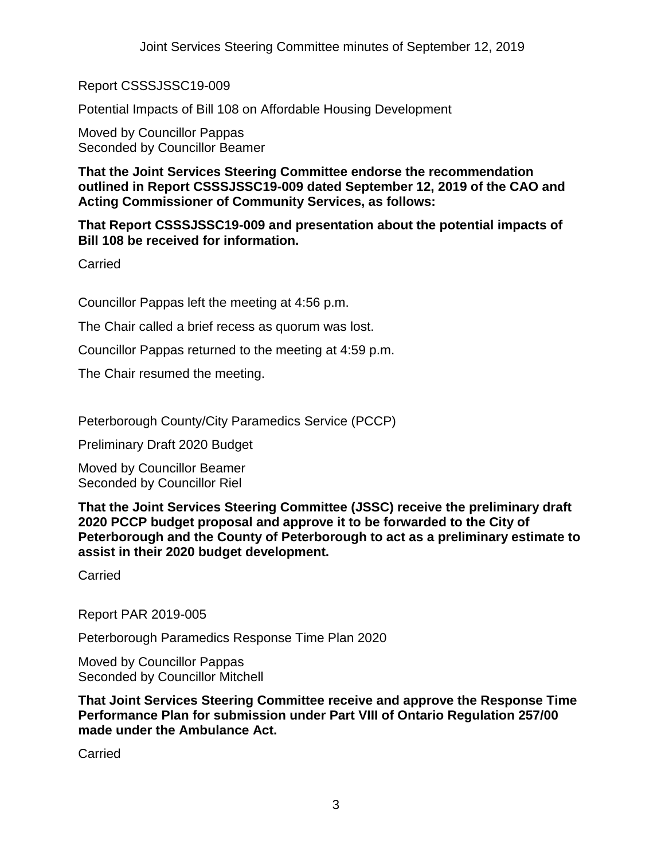Report CSSSJSSC19-009

Potential Impacts of Bill 108 on Affordable Housing Development

Moved by Councillor Pappas Seconded by Councillor Beamer

**That the Joint Services Steering Committee endorse the recommendation outlined in Report CSSSJSSC19-009 dated September 12, 2019 of the CAO and Acting Commissioner of Community Services, as follows:**

**That Report CSSSJSSC19-009 and presentation about the potential impacts of Bill 108 be received for information.**

Carried

Councillor Pappas left the meeting at 4:56 p.m.

The Chair called a brief recess as quorum was lost.

Councillor Pappas returned to the meeting at 4:59 p.m.

The Chair resumed the meeting.

Peterborough County/City Paramedics Service (PCCP)

Preliminary Draft 2020 Budget

Moved by Councillor Beamer Seconded by Councillor Riel

**That the Joint Services Steering Committee (JSSC) receive the preliminary draft 2020 PCCP budget proposal and approve it to be forwarded to the City of Peterborough and the County of Peterborough to act as a preliminary estimate to assist in their 2020 budget development.**

**Carried** 

Report PAR 2019-005

Peterborough Paramedics Response Time Plan 2020

Moved by Councillor Pappas Seconded by Councillor Mitchell

**That Joint Services Steering Committee receive and approve the Response Time Performance Plan for submission under Part VIII of Ontario Regulation 257/00 made under the Ambulance Act.**

**Carried**